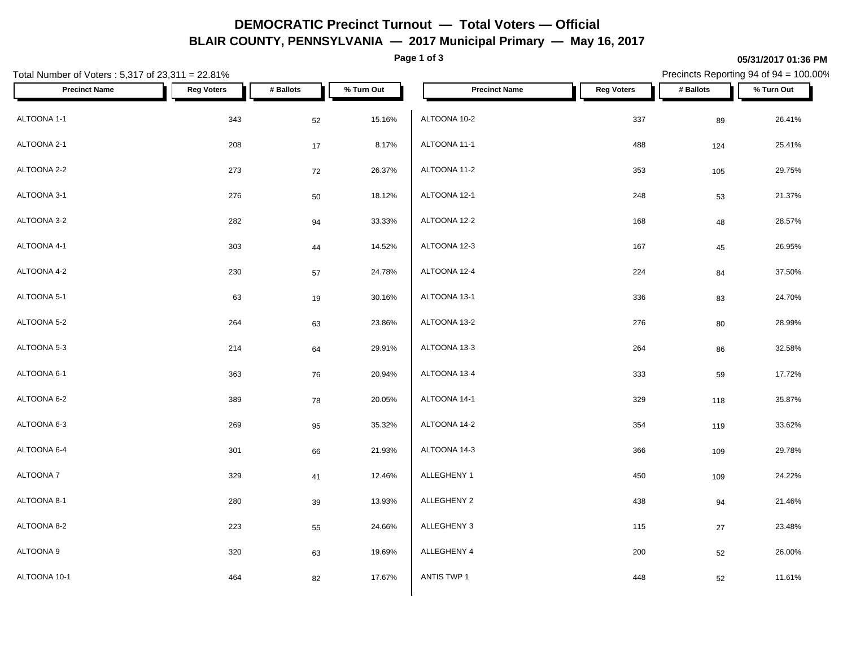# **DEMOCRATIC Precinct Turnout — Total Voters — Official BLAIR COUNTY, PENNSYLVANIA — 2017 Municipal Primary — May 16, 2017**

**Page 1 of 3**

#### **05/31/2017 01:36 PM**

Precincts Reporting 94 of 94 = 100.00%

| Total Number of Voters: 5,317 of 23,311 = 22.81% |                   |           |            |                      |                   | Precincts Reporting 94 of 94 = 100.00% |            |
|--------------------------------------------------|-------------------|-----------|------------|----------------------|-------------------|----------------------------------------|------------|
| <b>Precinct Name</b>                             | <b>Reg Voters</b> | # Ballots | % Turn Out | <b>Precinct Name</b> | <b>Reg Voters</b> | # Ballots                              | % Turn Out |
| ALTOONA 1-1                                      | 343               | 52        | 15.16%     | ALTOONA 10-2         | 337               | 89                                     | 26.41%     |
| ALTOONA 2-1                                      | 208               | 17        | 8.17%      | ALTOONA 11-1         | 488               | 124                                    | 25.41%     |
| ALTOONA 2-2                                      | 273               | 72        | 26.37%     | ALTOONA 11-2         | 353               | 105                                    | 29.75%     |
| ALTOONA 3-1                                      | 276               | 50        | 18.12%     | ALTOONA 12-1         | 248               | 53                                     | 21.37%     |
| ALTOONA 3-2                                      | 282               | 94        | 33.33%     | ALTOONA 12-2         | 168               | 48                                     | 28.57%     |
| ALTOONA 4-1                                      | 303               | 44        | 14.52%     | ALTOONA 12-3         | 167               | 45                                     | 26.95%     |
| ALTOONA 4-2                                      | 230               | 57        | 24.78%     | ALTOONA 12-4         | 224               | 84                                     | 37.50%     |
| ALTOONA 5-1                                      | 63                | 19        | 30.16%     | ALTOONA 13-1         | 336               | 83                                     | 24.70%     |
| ALTOONA 5-2                                      | 264               | 63        | 23.86%     | ALTOONA 13-2         | 276               | 80                                     | 28.99%     |
| ALTOONA 5-3                                      | 214               | 64        | 29.91%     | ALTOONA 13-3         | 264               | 86                                     | 32.58%     |
| ALTOONA 6-1                                      | 363               | 76        | 20.94%     | ALTOONA 13-4         | 333               | 59                                     | 17.72%     |
| ALTOONA 6-2                                      | 389               | 78        | 20.05%     | ALTOONA 14-1         | 329               | 118                                    | 35.87%     |
| ALTOONA 6-3                                      | 269               | 95        | 35.32%     | ALTOONA 14-2         | 354               | 119                                    | 33.62%     |
| ALTOONA 6-4                                      | 301               | 66        | 21.93%     | ALTOONA 14-3         | 366               | 109                                    | 29.78%     |
| ALTOONA 7                                        | 329               | 41        | 12.46%     | ALLEGHENY 1          | 450               | 109                                    | 24.22%     |
| ALTOONA 8-1                                      | 280               | 39        | 13.93%     | ALLEGHENY 2          | 438               | 94                                     | 21.46%     |
| ALTOONA 8-2                                      | 223               | 55        | 24.66%     | ALLEGHENY 3          | 115               | $27\,$                                 | 23.48%     |
| ALTOONA 9                                        | 320               | 63        | 19.69%     | ALLEGHENY 4          | 200               | 52                                     | 26.00%     |
| ALTOONA 10-1                                     | 464               | 82        | 17.67%     | ANTIS TWP 1          | 448               | 52                                     | 11.61%     |
|                                                  |                   |           |            |                      |                   |                                        |            |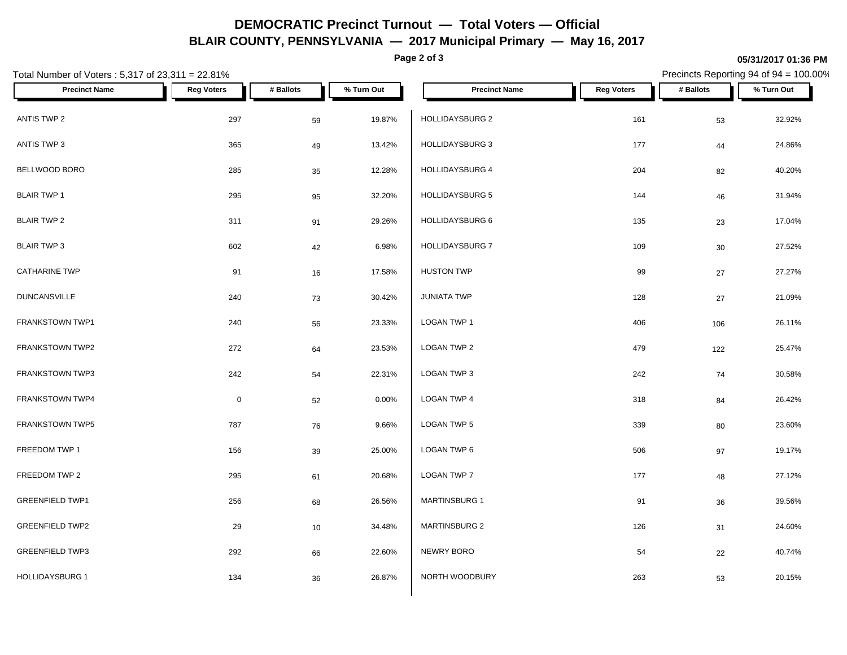# **DEMOCRATIC Precinct Turnout — Total Voters — Official BLAIR COUNTY, PENNSYLVANIA — 2017 Municipal Primary — May 16, 2017**

**Page 2 of 3**

#### **05/31/2017 01:36 PM**

Precincts Reporting 94 of 94 = 100.00%

| Total Number of Voters: 5,317 of 23,311 = 22.81% |                     |           |            |                        |                   | Precincts Reporting 94 of 94 = 100.00% |            |  |  |  |
|--------------------------------------------------|---------------------|-----------|------------|------------------------|-------------------|----------------------------------------|------------|--|--|--|
| <b>Precinct Name</b>                             | <b>Reg Voters</b>   | # Ballots | % Turn Out | <b>Precinct Name</b>   | <b>Reg Voters</b> | # Ballots                              | % Turn Out |  |  |  |
| ANTIS TWP 2                                      | 297                 | 59        | 19.87%     | HOLLIDAYSBURG 2        | 161               | 53                                     | 32.92%     |  |  |  |
| ANTIS TWP 3                                      | 365                 | 49        | 13.42%     | HOLLIDAYSBURG 3        | 177               | $44\,$                                 | 24.86%     |  |  |  |
| BELLWOOD BORO                                    | 285                 | 35        | 12.28%     | HOLLIDAYSBURG 4        | 204               | 82                                     | 40.20%     |  |  |  |
| <b>BLAIR TWP 1</b>                               | 295                 | 95        | 32.20%     | <b>HOLLIDAYSBURG 5</b> | 144               | 46                                     | 31.94%     |  |  |  |
| <b>BLAIR TWP 2</b>                               | 311                 | 91        | 29.26%     | HOLLIDAYSBURG 6        | 135               | 23                                     | 17.04%     |  |  |  |
| <b>BLAIR TWP 3</b>                               | 602                 | 42        | 6.98%      | HOLLIDAYSBURG 7        | 109               | 30                                     | 27.52%     |  |  |  |
| <b>CATHARINE TWP</b>                             | 91                  | 16        | 17.58%     | <b>HUSTON TWP</b>      | 99                | 27                                     | 27.27%     |  |  |  |
| <b>DUNCANSVILLE</b>                              | 240                 | 73        | 30.42%     | <b>JUNIATA TWP</b>     | 128               | $27\,$                                 | 21.09%     |  |  |  |
| FRANKSTOWN TWP1                                  | 240                 | 56        | 23.33%     | LOGAN TWP 1            | 406               | 106                                    | 26.11%     |  |  |  |
| FRANKSTOWN TWP2                                  | 272                 | 64        | 23.53%     | LOGAN TWP 2            | 479               | 122                                    | 25.47%     |  |  |  |
| FRANKSTOWN TWP3                                  | 242                 | 54        | 22.31%     | LOGAN TWP 3            | 242               | 74                                     | 30.58%     |  |  |  |
| FRANKSTOWN TWP4                                  | $\mathsf{O}\xspace$ | 52        | 0.00%      | LOGAN TWP 4            | 318               | 84                                     | 26.42%     |  |  |  |
| FRANKSTOWN TWP5                                  | 787                 | 76        | 9.66%      | LOGAN TWP 5            | 339               | 80                                     | 23.60%     |  |  |  |
| FREEDOM TWP 1                                    | 156                 | 39        | 25.00%     | LOGAN TWP 6            | 506               | 97                                     | 19.17%     |  |  |  |
| FREEDOM TWP 2                                    | 295                 | 61        | 20.68%     | LOGAN TWP 7            | 177               | 48                                     | 27.12%     |  |  |  |
| <b>GREENFIELD TWP1</b>                           | 256                 | 68        | 26.56%     | MARTINSBURG 1          | 91                | 36                                     | 39.56%     |  |  |  |
| <b>GREENFIELD TWP2</b>                           | 29                  | 10        | 34.48%     | <b>MARTINSBURG 2</b>   | 126               | 31                                     | 24.60%     |  |  |  |
| <b>GREENFIELD TWP3</b>                           | 292                 | 66        | 22.60%     | NEWRY BORO             | 54                | 22                                     | 40.74%     |  |  |  |
| <b>HOLLIDAYSBURG 1</b>                           | 134                 | 36        | 26.87%     | NORTH WOODBURY         | 263               | 53                                     | 20.15%     |  |  |  |
|                                                  |                     |           |            |                        |                   |                                        |            |  |  |  |